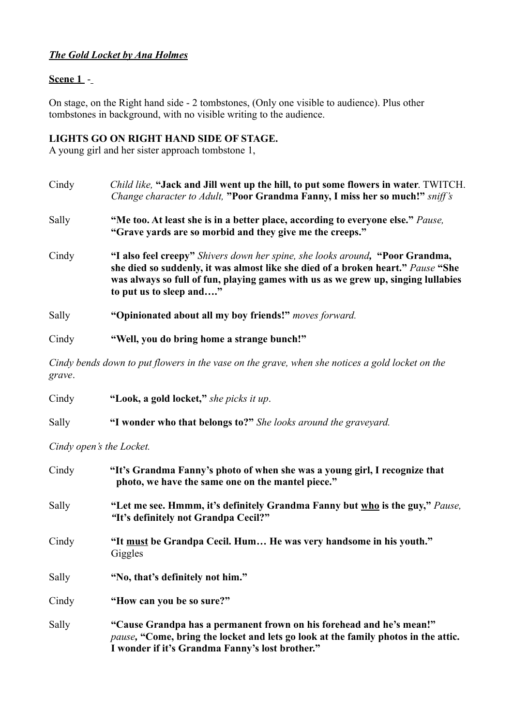## *The Gold Locket by Ana Holmes*

### **Scene 1** -

On stage, on the Right hand side - 2 tombstones, (Only one visible to audience). Plus other tombstones in background, with no visible writing to the audience.

## **LIGHTS GO ON RIGHT HAND SIDE OF STAGE.**

A young girl and her sister approach tombstone 1,

| Cindy | <i>Child like,</i> "Jack and Jill went up the hill, to put some flowers in water. TWITCH.<br>Change character to Adult, "Poor Grandma Fanny, I miss her so much!" sniff's                                                                                                         |
|-------|-----------------------------------------------------------------------------------------------------------------------------------------------------------------------------------------------------------------------------------------------------------------------------------|
| Sally | "Me too. At least she is in a better place, according to everyone else." Pause,<br>"Grave yards are so morbid and they give me the creeps."                                                                                                                                       |
| Cindy | "I also feel creepy" Shivers down her spine, she looks around, "Poor Grandma,<br>she died so suddenly, it was almost like she died of a broken heart." Pause "She<br>was always so full of fun, playing games with us as we grew up, singing lullabies<br>to put us to sleep and" |
| Sally | "Opinionated about all my boy friends!" moves forward.                                                                                                                                                                                                                            |
| Cindy | "Well, you do bring home a strange bunch!"                                                                                                                                                                                                                                        |

*Cindy bends down to put flowers in the vase on the grave, when she notices a gold locket on the grave*.

| Cindy | "Look, a gold locket," she picks it up.                         |
|-------|-----------------------------------------------------------------|
| Sally | "I wonder who that belongs to?" She looks around the graveyard. |

*Cindy open's the Locket.*

| Cindy | "It's Grandma Fanny's photo of when she was a young girl, I recognize that<br>photo, we have the same one on the mantel piece."                                                                                       |
|-------|-----------------------------------------------------------------------------------------------------------------------------------------------------------------------------------------------------------------------|
| Sally | "Let me see. Hmmm, it's definitely Grandma Fanny but who is the guy," Pause,<br>"It's definitely not Grandpa Cecil?"                                                                                                  |
| Cindy | "It must be Grandpa Cecil. Hum He was very handsome in his youth."<br>Giggles                                                                                                                                         |
| Sally | "No, that's definitely not him."                                                                                                                                                                                      |
| Cindy | "How can you be so sure?"                                                                                                                                                                                             |
| Sally | "Cause Grandpa has a permanent frown on his forehead and he's mean!"<br><i>pause</i> , "Come, bring the locket and lets go look at the family photos in the attic.<br>I wonder if it's Grandma Fanny's lost brother." |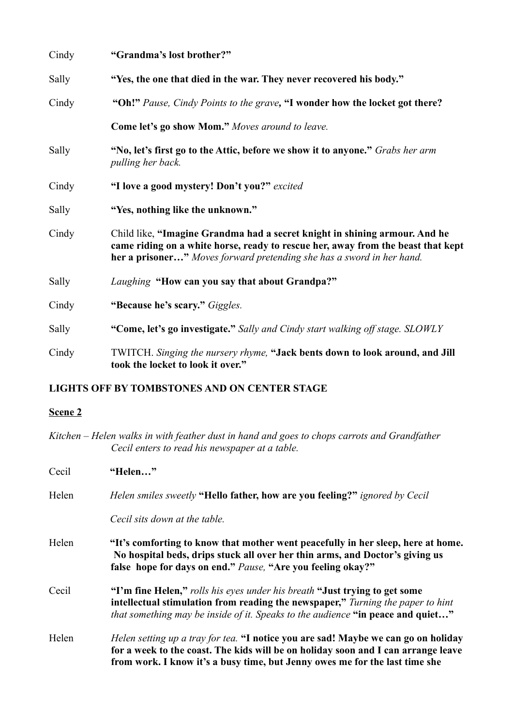| Cindy | "Grandma's lost brother?"                                                                                                                                                                                                               |  |  |  |  |  |
|-------|-----------------------------------------------------------------------------------------------------------------------------------------------------------------------------------------------------------------------------------------|--|--|--|--|--|
| Sally | "Yes, the one that died in the war. They never recovered his body."                                                                                                                                                                     |  |  |  |  |  |
| Cindy | "Oh!" Pause, Cindy Points to the grave, "I wonder how the locket got there?                                                                                                                                                             |  |  |  |  |  |
|       | Come let's go show Mom." Moves around to leave.                                                                                                                                                                                         |  |  |  |  |  |
| Sally | "No, let's first go to the Attic, before we show it to anyone." <i>Grabs her arm</i><br>pulling her back.                                                                                                                               |  |  |  |  |  |
| Cindy | "I love a good mystery! Don't you?" excited                                                                                                                                                                                             |  |  |  |  |  |
| Sally | "Yes, nothing like the unknown."                                                                                                                                                                                                        |  |  |  |  |  |
| Cindy | Child like, "Imagine Grandma had a secret knight in shining armour. And he<br>came riding on a white horse, ready to rescue her, away from the beast that kept<br>her a prisoner" Moves forward pretending she has a sword in her hand. |  |  |  |  |  |
| Sally | Laughing "How can you say that about Grandpa?"                                                                                                                                                                                          |  |  |  |  |  |
| Cindy | "Because he's scary." Giggles.                                                                                                                                                                                                          |  |  |  |  |  |
| Sally | "Come, let's go investigate." Sally and Cindy start walking off stage. SLOWLY                                                                                                                                                           |  |  |  |  |  |
| Cindy | TWITCH. Singing the nursery rhyme, "Jack bents down to look around, and Jill<br>took the locket to look it over."                                                                                                                       |  |  |  |  |  |

# **LIGHTS OFF BY TOMBSTONES AND ON CENTER STAGE**

## **Scene 2**

| Kitchen – Helen walks in with feather dust in hand and goes to chops carrots and Grandfather |  |                                                |  |  |  |  |  |  |
|----------------------------------------------------------------------------------------------|--|------------------------------------------------|--|--|--|--|--|--|
|                                                                                              |  | Cecil enters to read his newspaper at a table. |  |  |  |  |  |  |

| Cecil | "Helen"                                                                                                                                                                                                                                                 |
|-------|---------------------------------------------------------------------------------------------------------------------------------------------------------------------------------------------------------------------------------------------------------|
| Helen | Helen smiles sweetly "Hello father, how are you feeling?" ignored by Cecil                                                                                                                                                                              |
|       | Cecil sits down at the table.                                                                                                                                                                                                                           |
| Helen | "It's comforting to know that mother went peacefully in her sleep, here at home.<br>No hospital beds, drips stuck all over her thin arms, and Doctor's giving us<br>false hope for days on end." Pause, "Are you feeling okay?"                         |
| Cecil | "I'm fine Helen," rolls his eyes under his breath "Just trying to get some<br>intellectual stimulation from reading the newspaper," Turning the paper to hint<br><i>that something may be inside of it. Speaks to the audience</i> "in peace and quiet" |
| Helen | Helen setting up a tray for tea. "I notice you are sad! Maybe we can go on holiday<br>for a week to the coast. The kids will be on holiday soon and I can arrange leave<br>from work. I know it's a busy time, but Jenny owes me for the last time she  |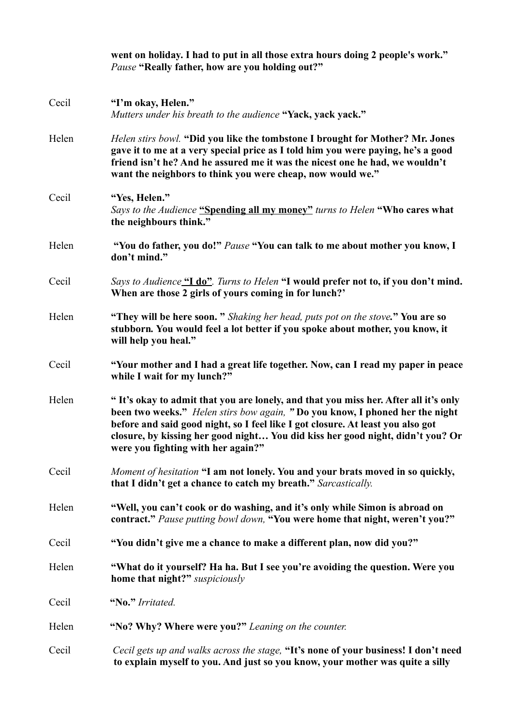|       | went on holiday. I had to put in all those extra hours doing 2 people's work."<br>Pause "Really father, how are you holding out?"                                                                                                                                                                                                                                              |
|-------|--------------------------------------------------------------------------------------------------------------------------------------------------------------------------------------------------------------------------------------------------------------------------------------------------------------------------------------------------------------------------------|
| Cecil | "I'm okay, Helen."<br>Mutters under his breath to the audience "Yack, yack yack."                                                                                                                                                                                                                                                                                              |
| Helen | <i>Helen stirs bowl.</i> "Did you like the tombstone I brought for Mother? Mr. Jones<br>gave it to me at a very special price as I told him you were paying, he's a good<br>friend isn't he? And he assured me it was the nicest one he had, we wouldn't<br>want the neighbors to think you were cheap, now would we."                                                         |
| Cecil | "Yes, Helen."<br>Says to the Audience "Spending all my money" turns to Helen "Who cares what<br>the neighbours think."                                                                                                                                                                                                                                                         |
| Helen | "You do father, you do!" Pause "You can talk to me about mother you know, I<br>don't mind."                                                                                                                                                                                                                                                                                    |
| Cecil | Says to Audience "I do". Turns to Helen "I would prefer not to, if you don't mind.<br>When are those 2 girls of yours coming in for lunch?'                                                                                                                                                                                                                                    |
| Helen | "They will be here soon." Shaking her head, puts pot on the stove." You are so<br>stubborn. You would feel a lot better if you spoke about mother, you know, it<br>will help you heal."                                                                                                                                                                                        |
| Cecil | "Your mother and I had a great life together. Now, can I read my paper in peace<br>while I wait for my lunch?"                                                                                                                                                                                                                                                                 |
| Helen | "It's okay to admit that you are lonely, and that you miss her. After all it's only<br>been two weeks." Helen stirs bow again, "Do you know, I phoned her the night<br>before and said good night, so I feel like I got closure. At least you also got<br>closure, by kissing her good night You did kiss her good night, didn't you? Or<br>were you fighting with her again?" |
| Cecil | Moment of hesitation "I am not lonely. You and your brats moved in so quickly,<br>that I didn't get a chance to catch my breath." Sarcastically.                                                                                                                                                                                                                               |
| Helen | "Well, you can't cook or do washing, and it's only while Simon is abroad on<br>contract." Pause putting bowl down, "You were home that night, weren't you?"                                                                                                                                                                                                                    |
| Cecil | "You didn't give me a chance to make a different plan, now did you?"                                                                                                                                                                                                                                                                                                           |
| Helen | "What do it yourself? Ha ha. But I see you're avoiding the question. Were you<br>home that night?" suspiciously                                                                                                                                                                                                                                                                |
| Cecil | "No." Irritated.                                                                                                                                                                                                                                                                                                                                                               |
| Helen | "No? Why? Where were you?" Leaning on the counter.                                                                                                                                                                                                                                                                                                                             |
| Cecil | Cecil gets up and walks across the stage, "It's none of your business! I don't need<br>to explain myself to you. And just so you know, your mother was quite a silly                                                                                                                                                                                                           |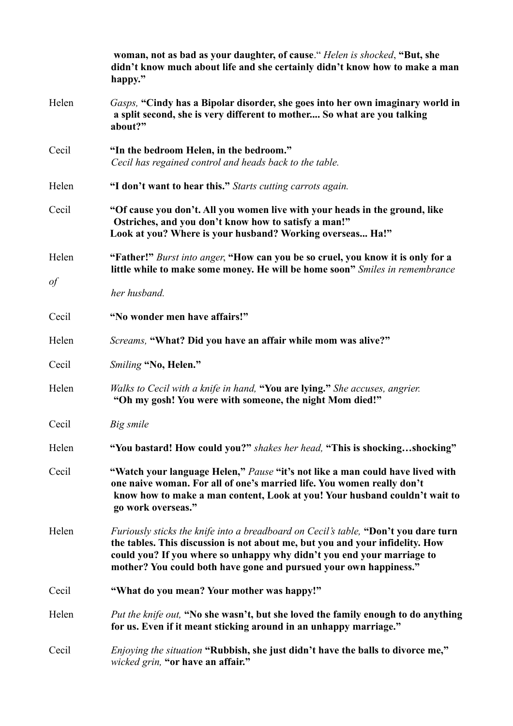|       | woman, not as bad as your daughter, of cause." Helen is shocked, "But, she<br>didn't know much about life and she certainly didn't know how to make a man<br>happy."                                                                                                                                                |
|-------|---------------------------------------------------------------------------------------------------------------------------------------------------------------------------------------------------------------------------------------------------------------------------------------------------------------------|
| Helen | Gasps, "Cindy has a Bipolar disorder, she goes into her own imaginary world in<br>a split second, she is very different to mother So what are you talking<br>about?"                                                                                                                                                |
| Cecil | "In the bedroom Helen, in the bedroom."<br>Cecil has regained control and heads back to the table.                                                                                                                                                                                                                  |
| Helen | "I don't want to hear this." Starts cutting carrots again.                                                                                                                                                                                                                                                          |
| Cecil | "Of cause you don't. All you women live with your heads in the ground, like<br>Ostriches, and you don't know how to satisfy a man!"<br>Look at you? Where is your husband? Working overseas Ha!"                                                                                                                    |
| Helen | "Father!" Burst into anger, "How can you be so cruel, you know it is only for a<br>little while to make some money. He will be home soon" Smiles in remembrance                                                                                                                                                     |
| of    | her husband.                                                                                                                                                                                                                                                                                                        |
| Cecil | "No wonder men have affairs!"                                                                                                                                                                                                                                                                                       |
| Helen | Screams, "What? Did you have an affair while mom was alive?"                                                                                                                                                                                                                                                        |
| Cecil | Smiling "No, Helen."                                                                                                                                                                                                                                                                                                |
| Helen | Walks to Cecil with a knife in hand, "You are lying." She accuses, angrier.<br>"Oh my gosh! You were with someone, the night Mom died!"                                                                                                                                                                             |
| Cecil | Big smile                                                                                                                                                                                                                                                                                                           |
| Helen | "You bastard! How could you?" shakes her head, "This is shockingshocking"                                                                                                                                                                                                                                           |
| Cecil | "Watch your language Helen," Pause "it's not like a man could have lived with<br>one naive woman. For all of one's married life. You women really don't<br>know how to make a man content, Look at you! Your husband couldn't wait to<br>go work overseas."                                                         |
| Helen | Furiously sticks the knife into a breadboard on Cecil's table, "Don't you dare turn<br>the tables. This discussion is not about me, but you and your infidelity. How<br>could you? If you where so unhappy why didn't you end your marriage to<br>mother? You could both have gone and pursued your own happiness." |
| Cecil | "What do you mean? Your mother was happy!"                                                                                                                                                                                                                                                                          |
| Helen | Put the knife out, "No she wasn't, but she loved the family enough to do anything<br>for us. Even if it meant sticking around in an unhappy marriage."                                                                                                                                                              |
| Cecil | <i>Enjoying the situation</i> "Rubbish, she just didn't have the balls to divorce me,"<br>wicked grin, "or have an affair."                                                                                                                                                                                         |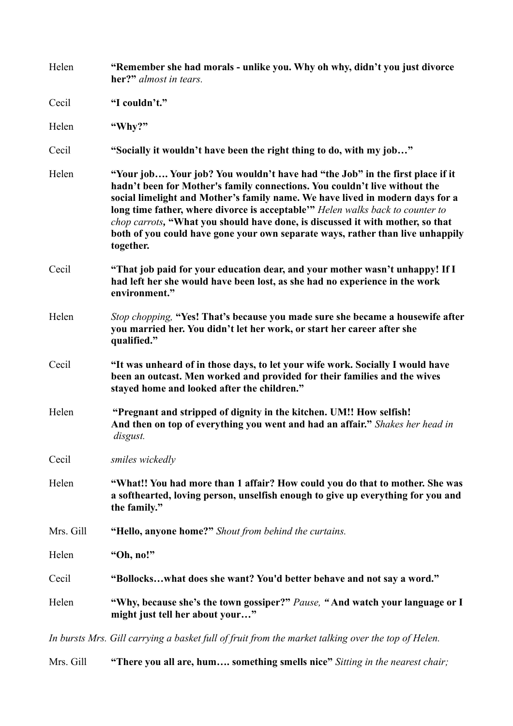| Helen     | "Remember she had morals - unlike you. Why oh why, didn't you just divorce<br>her?" almost in tears.                                                                                                                                                                                                                                                                                                                                                                                                          |
|-----------|---------------------------------------------------------------------------------------------------------------------------------------------------------------------------------------------------------------------------------------------------------------------------------------------------------------------------------------------------------------------------------------------------------------------------------------------------------------------------------------------------------------|
| Cecil     | "I couldn't."                                                                                                                                                                                                                                                                                                                                                                                                                                                                                                 |
| Helen     | "Why?"                                                                                                                                                                                                                                                                                                                                                                                                                                                                                                        |
| Cecil     | "Socially it wouldn't have been the right thing to do, with my job"                                                                                                                                                                                                                                                                                                                                                                                                                                           |
| Helen     | "Your job Your job? You wouldn't have had "the Job" in the first place if it<br>hadn't been for Mother's family connections. You couldn't live without the<br>social limelight and Mother's family name. We have lived in modern days for a<br>long time father, where divorce is acceptable" Helen walks back to counter to<br>chop carrots, "What you should have done, is discussed it with mother, so that<br>both of you could have gone your own separate ways, rather than live unhappily<br>together. |
| Cecil     | "That job paid for your education dear, and your mother wasn't unhappy! If I<br>had left her she would have been lost, as she had no experience in the work<br>environment."                                                                                                                                                                                                                                                                                                                                  |
| Helen     | Stop chopping, "Yes! That's because you made sure she became a housewife after<br>you married her. You didn't let her work, or start her career after she<br>qualified."                                                                                                                                                                                                                                                                                                                                      |
| Cecil     | "It was unheard of in those days, to let your wife work. Socially I would have<br>been an outcast. Men worked and provided for their families and the wives<br>stayed home and looked after the children."                                                                                                                                                                                                                                                                                                    |
| Helen     | "Pregnant and stripped of dignity in the kitchen. UM!! How selfish!<br>And then on top of everything you went and had an affair." Shakes her head in<br>disgust.                                                                                                                                                                                                                                                                                                                                              |
| Cecil     | smiles wickedly                                                                                                                                                                                                                                                                                                                                                                                                                                                                                               |
| Helen     | "What!! You had more than 1 affair? How could you do that to mother. She was<br>a softhearted, loving person, unselfish enough to give up everything for you and<br>the family."                                                                                                                                                                                                                                                                                                                              |
| Mrs. Gill | "Hello, anyone home?" Shout from behind the curtains.                                                                                                                                                                                                                                                                                                                                                                                                                                                         |
| Helen     | "Oh, no!"                                                                                                                                                                                                                                                                                                                                                                                                                                                                                                     |
| Cecil     | "Bollockswhat does she want? You'd better behave and not say a word."                                                                                                                                                                                                                                                                                                                                                                                                                                         |
| Helen     | "Why, because she's the town gossiper?" Pause, "And watch your language or I<br>might just tell her about your"                                                                                                                                                                                                                                                                                                                                                                                               |
|           |                                                                                                                                                                                                                                                                                                                                                                                                                                                                                                               |

*In bursts Mrs. Gill carrying a basket full of fruit from the market talking over the top of Helen.*

Mrs. Gill **"There you all are, hum…. something smells nice"** *Sitting in the nearest chair;*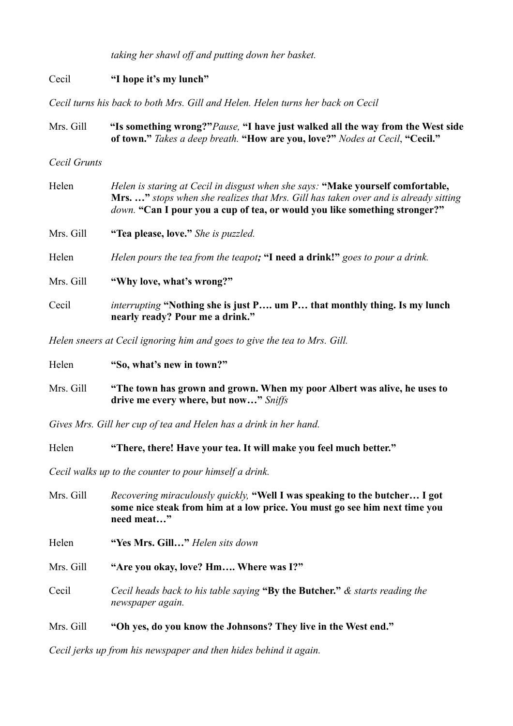*taking her shawl off and putting down her basket.*

#### Cecil **"I hope it's my lunch"**

*Cecil turns his back to both Mrs. Gill and Helen. Helen turns her back on Cecil*

- Mrs. Gill **"Is something wrong?"***Pause,* **"I have just walked all the way from the West side of town."** *Takes a deep breath.* **"How are you, love?"** *Nodes at Cecil*, **"Cecil."**
- *Cecil Grunts*
- Helen *Helen is staring at Cecil in disgust when she says:* **"Make yourself comfortable, Mrs. …"** *stops when she realizes that Mrs. Gill has taken over and is already sitting down.* **"Can I pour you a cup of tea, or would you like something stronger?"**
- Mrs. Gill **"Tea please, love."** *She is puzzled.*
- Helen *Helen pours the tea from the teapot;* **"I need a drink!"** *goes to pour a drink.*
- Mrs. Gill **"Why love, what's wrong?"**
- Cecil *interrupting* **"Nothing she is just P…. um P… that monthly thing. Is my lunch nearly ready? Pour me a drink."**

*Helen sneers at Cecil ignoring him and goes to give the tea to Mrs. Gill.*

Helen **"So, what's new in town?"**

Mrs. Gill **"The town has grown and grown. When my poor Albert was alive, he uses to drive me every where, but now…"** *Sniffs*

*Gives Mrs. Gill her cup of tea and Helen has a drink in her hand.*

Helen **"There, there! Have your tea. It will make you feel much better."**

*Cecil walks up to the counter to pour himself a drink.*

Mrs. Gill *Recovering miraculously quickly,* **"Well I was speaking to the butcher… I got some nice steak from him at a low price. You must go see him next time you need meat…"**

Helen **"Yes Mrs. Gill…"** *Helen sits down*

Mrs. Gill **"Are you okay, love? Hm…. Where was I?"**

Cecil *Cecil heads back to his table saying* **"By the Butcher."** *& starts reading the newspaper again.*

#### Mrs. Gill **"Oh yes, do you know the Johnsons? They live in the West end."**

*Cecil jerks up from his newspaper and then hides behind it again.*